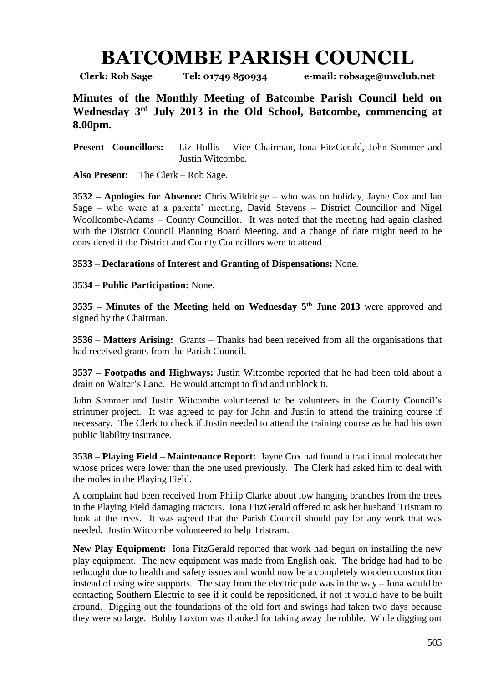## **BATCOMBE PARISH COUNCIL**

**Clerk: Rob Sage Tel: 01749 850934 e-mail: robsage@uwclub.net**

**Minutes of the Monthly Meeting of Batcombe Parish Council held on Wednesday 3 rd July 2013 in the Old School, Batcombe, commencing at 8.00pm.**

**Present - Councillors:** Liz Hollis – Vice Chairman, Iona FitzGerald, John Sommer and Justin Witcombe.

**Also Present:** The Clerk – Rob Sage.

**3532 – Apologies for Absence:** Chris Wildridge – who was on holiday, Jayne Cox and Ian Sage – who were at a parents' meeting, David Stevens – District Councillor and Nigel Woollcombe-Adams – County Councillor. It was noted that the meeting had again clashed with the District Council Planning Board Meeting, and a change of date might need to be considered if the District and County Councillors were to attend.

**3533 – Declarations of Interest and Granting of Dispensations:** None.

**3534 – Public Participation:** None.

**3535 – Minutes of the Meeting held on Wednesday 5 th June 2013** were approved and signed by the Chairman.

**3536 – Matters Arising:** Grants – Thanks had been received from all the organisations that had received grants from the Parish Council.

**3537 – Footpaths and Highways:** Justin Witcombe reported that he had been told about a drain on Walter's Lane. He would attempt to find and unblock it.

John Sommer and Justin Witcombe volunteered to be volunteers in the County Council's strimmer project. It was agreed to pay for John and Justin to attend the training course if necessary. The Clerk to check if Justin needed to attend the training course as he had his own public liability insurance.

**3538 – Playing Field – Maintenance Report:** Jayne Cox had found a traditional molecatcher whose prices were lower than the one used previously. The Clerk had asked him to deal with the moles in the Playing Field.

A complaint had been received from Philip Clarke about low hanging branches from the trees in the Playing Field damaging tractors. Iona FitzGerald offered to ask her husband Tristram to look at the trees. It was agreed that the Parish Council should pay for any work that was needed. Justin Witcombe volunteered to help Tristram.

**New Play Equipment:** Iona FitzGerald reported that work had begun on installing the new play equipment. The new equipment was made from English oak. The bridge had had to be rethought due to health and safety issues and would now be a completely wooden construction instead of using wire supports. The stay from the electric pole was in the way – Iona would be contacting Southern Electric to see if it could be repositioned, if not it would have to be built around. Digging out the foundations of the old fort and swings had taken two days because they were so large. Bobby Loxton was thanked for taking away the rubble. While digging out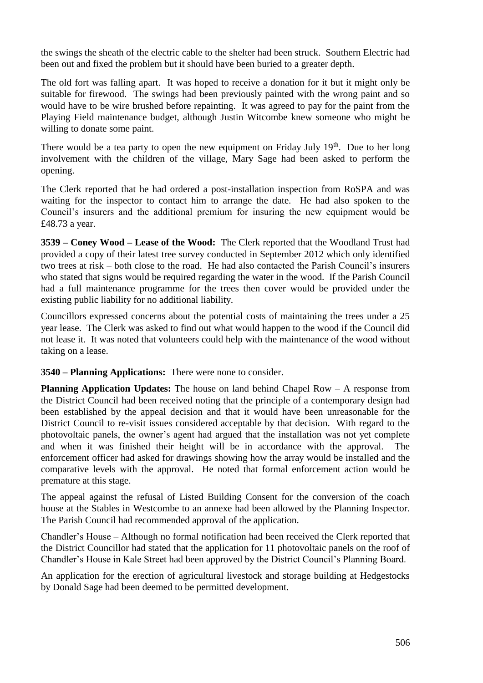the swings the sheath of the electric cable to the shelter had been struck. Southern Electric had been out and fixed the problem but it should have been buried to a greater depth.

The old fort was falling apart. It was hoped to receive a donation for it but it might only be suitable for firewood. The swings had been previously painted with the wrong paint and so would have to be wire brushed before repainting. It was agreed to pay for the paint from the Playing Field maintenance budget, although Justin Witcombe knew someone who might be willing to donate some paint.

There would be a tea party to open the new equipment on Friday July  $19<sup>th</sup>$ . Due to her long involvement with the children of the village, Mary Sage had been asked to perform the opening.

The Clerk reported that he had ordered a post-installation inspection from RoSPA and was waiting for the inspector to contact him to arrange the date. He had also spoken to the Council's insurers and the additional premium for insuring the new equipment would be £48.73 a year.

**3539 – Coney Wood – Lease of the Wood:** The Clerk reported that the Woodland Trust had provided a copy of their latest tree survey conducted in September 2012 which only identified two trees at risk – both close to the road. He had also contacted the Parish Council's insurers who stated that signs would be required regarding the water in the wood. If the Parish Council had a full maintenance programme for the trees then cover would be provided under the existing public liability for no additional liability.

Councillors expressed concerns about the potential costs of maintaining the trees under a 25 year lease. The Clerk was asked to find out what would happen to the wood if the Council did not lease it. It was noted that volunteers could help with the maintenance of the wood without taking on a lease.

## **3540 – Planning Applications:** There were none to consider.

**Planning Application Updates:** The house on land behind Chapel Row – A response from the District Council had been received noting that the principle of a contemporary design had been established by the appeal decision and that it would have been unreasonable for the District Council to re-visit issues considered acceptable by that decision. With regard to the photovoltaic panels, the owner's agent had argued that the installation was not yet complete and when it was finished their height will be in accordance with the approval. The enforcement officer had asked for drawings showing how the array would be installed and the comparative levels with the approval. He noted that formal enforcement action would be premature at this stage.

The appeal against the refusal of Listed Building Consent for the conversion of the coach house at the Stables in Westcombe to an annexe had been allowed by the Planning Inspector. The Parish Council had recommended approval of the application.

Chandler's House – Although no formal notification had been received the Clerk reported that the District Councillor had stated that the application for 11 photovoltaic panels on the roof of Chandler's House in Kale Street had been approved by the District Council's Planning Board.

An application for the erection of agricultural livestock and storage building at Hedgestocks by Donald Sage had been deemed to be permitted development.